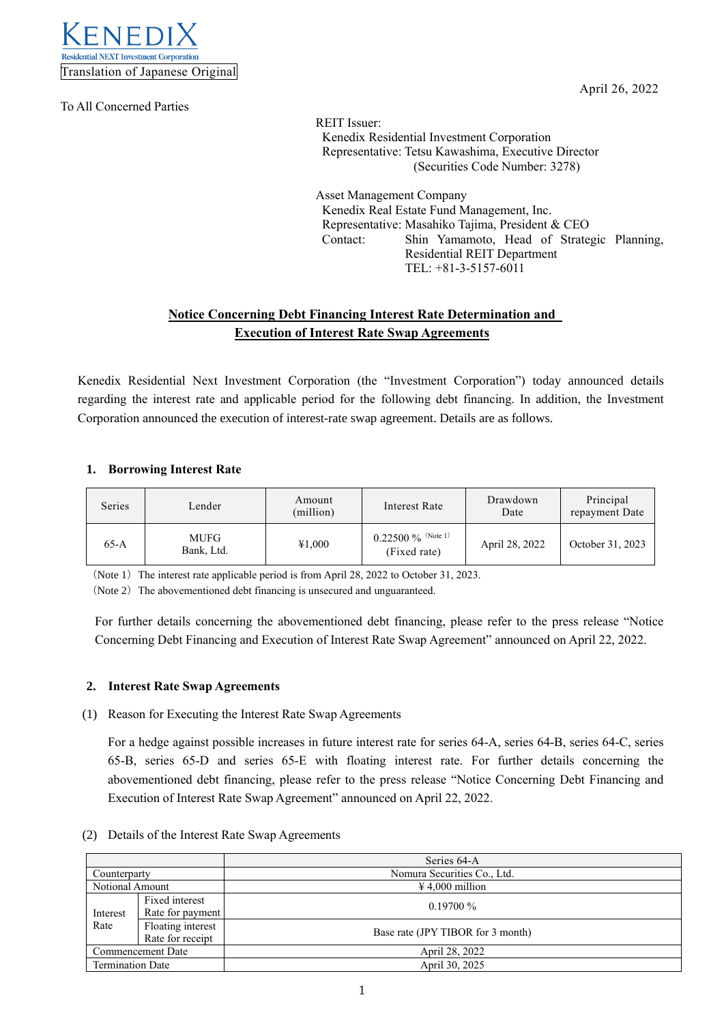

To All Concerned Parties

April 26, 2022

REIT Issuer: Kenedix Residential Investment Corporation Representative: Tetsu Kawashima, Executive Director (Securities Code Number: 3278)

Asset Management Company Kenedix Real Estate Fund Management, Inc. Representative: Masahiko Tajima, President & CEO Contact: Shin Yamamoto, Head of Strategic Planning, Residential REIT Department TEL: +81-3-5157-6011

## **Notice Concerning Debt Financing Interest Rate Determination and Execution of Interest Rate Swap Agreements**

Kenedix Residential Next Investment Corporation (the "Investment Corporation") today announced details regarding the interest rate and applicable period for the following debt financing. In addition, the Investment Corporation announced the execution of interest-rate swap agreement. Details are as follows.

### **1. Borrowing Interest Rate**

| Series | Lender                    | Amount<br>(million) | Interest Rate                          | Drawdown<br>Date | Principal<br>repayment Date |
|--------|---------------------------|---------------------|----------------------------------------|------------------|-----------------------------|
| $65-A$ | <b>MUFG</b><br>Bank, Ltd. | ¥1,000              | $0.22500\ \%$ (Note 1)<br>(Fixed rate) | April 28, 2022   | October 31, 2023            |

(Note 1) The interest rate applicable period is from April 28, 2022 to October 31, 2023.

(Note 2) The abovementioned debt financing is unsecured and unguaranteed.

For further details concerning the abovementioned debt financing, please refer to the press release "Notice Concerning Debt Financing and Execution of Interest Rate Swap Agreement" announced on April 22, 2022.

#### **2. Interest Rate Swap Agreements**

(1) Reason for Executing the Interest Rate Swap Agreements

For a hedge against possible increases in future interest rate for series 64-A, series 64-B, series 64-C, series 65-B, series 65-D and series 65-E with floating interest rate. For further details concerning the abovementioned debt financing, please refer to the press release "Notice Concerning Debt Financing and Execution of Interest Rate Swap Agreement" announced on April 22, 2022.

#### (2) Details of the Interest Rate Swap Agreements

|                         |                   | Series 64-A                       |  |
|-------------------------|-------------------|-----------------------------------|--|
| Counterparty            |                   | Nomura Securities Co., Ltd.       |  |
| Notional Amount         |                   | $\text{\#}4.000$ million          |  |
| Interest<br>Rate        | Fixed interest    | $0.19700\%$                       |  |
|                         | Rate for payment  |                                   |  |
|                         | Floating interest |                                   |  |
|                         | Rate for receipt  | Base rate (JPY TIBOR for 3 month) |  |
| Commencement Date       |                   | April 28, 2022                    |  |
| <b>Termination Date</b> |                   | April 30, 2025                    |  |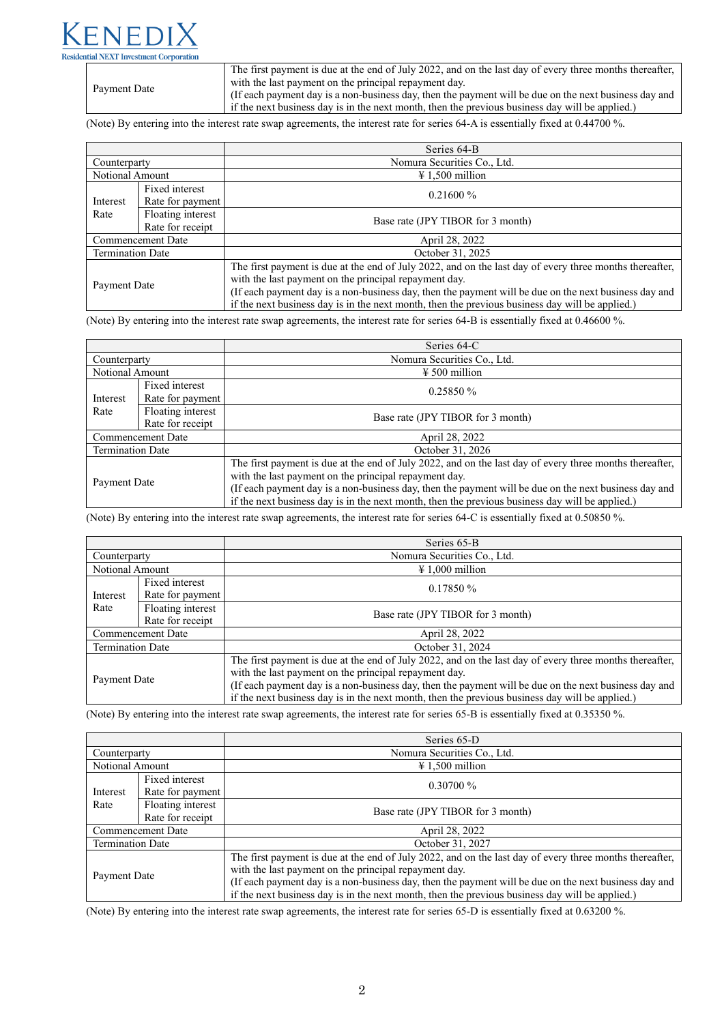# ntial NEXT Investment Corporation

Payment Date

The first payment is due at the end of July 2022, and on the last day of every three months thereafter, with the last payment on the principal repayment day.

(If each payment day is a non-business day, then the payment will be due on the next business day and if the next business day is in the next month, then the previous business day will be applied.)

(Note) By entering into the interest rate swap agreements, the interest rate for series 64-A is essentially fixed at 0.44700 %.

|                         |                                       | Series 64-B                                                                                                                                                                                                                                                                                                                                                                  |  |  |
|-------------------------|---------------------------------------|------------------------------------------------------------------------------------------------------------------------------------------------------------------------------------------------------------------------------------------------------------------------------------------------------------------------------------------------------------------------------|--|--|
| Counterparty            |                                       | Nomura Securities Co., Ltd.                                                                                                                                                                                                                                                                                                                                                  |  |  |
| Notional Amount         |                                       | $\text{\#} 1,500$ million                                                                                                                                                                                                                                                                                                                                                    |  |  |
| Interest                | Fixed interest<br>Rate for payment    | $0.21600\%$                                                                                                                                                                                                                                                                                                                                                                  |  |  |
| Rate                    | Floating interest<br>Rate for receipt | Base rate (JPY TIBOR for 3 month)                                                                                                                                                                                                                                                                                                                                            |  |  |
| Commencement Date       |                                       | April 28, 2022                                                                                                                                                                                                                                                                                                                                                               |  |  |
| <b>Termination Date</b> |                                       | October 31, 2025                                                                                                                                                                                                                                                                                                                                                             |  |  |
| Payment Date            |                                       | The first payment is due at the end of July 2022, and on the last day of every three months thereafter,<br>with the last payment on the principal repayment day.<br>(If each payment day is a non-business day, then the payment will be due on the next business day and<br>if the next business day is in the next month, then the previous business day will be applied.) |  |  |

(Note) By entering into the interest rate swap agreements, the interest rate for series 64-B is essentially fixed at 0.46600 %.

|                         |                                       | Series 64-C                                                                                                                                                                                                                                                                                                                                                                  |  |  |
|-------------------------|---------------------------------------|------------------------------------------------------------------------------------------------------------------------------------------------------------------------------------------------------------------------------------------------------------------------------------------------------------------------------------------------------------------------------|--|--|
| Counterparty            |                                       | Nomura Securities Co., Ltd.                                                                                                                                                                                                                                                                                                                                                  |  |  |
| Notional Amount         |                                       | $\frac{1}{2}$ 500 million                                                                                                                                                                                                                                                                                                                                                    |  |  |
| Interest                | Fixed interest<br>Rate for payment    | 0.25850%                                                                                                                                                                                                                                                                                                                                                                     |  |  |
| Rate                    | Floating interest<br>Rate for receipt | Base rate (JPY TIBOR for 3 month)                                                                                                                                                                                                                                                                                                                                            |  |  |
| Commencement Date       |                                       | April 28, 2022                                                                                                                                                                                                                                                                                                                                                               |  |  |
| <b>Termination Date</b> |                                       | October 31, 2026                                                                                                                                                                                                                                                                                                                                                             |  |  |
| Payment Date            |                                       | The first payment is due at the end of July 2022, and on the last day of every three months thereafter,<br>with the last payment on the principal repayment day.<br>(If each payment day is a non-business day, then the payment will be due on the next business day and<br>if the next business day is in the next month, then the previous business day will be applied.) |  |  |

(Note) By entering into the interest rate swap agreements, the interest rate for series 64-C is essentially fixed at 0.50850 %.

|                         |                                       | Series 65-B                                                                                                                                                                                                                                                                                                                                                                  |  |  |
|-------------------------|---------------------------------------|------------------------------------------------------------------------------------------------------------------------------------------------------------------------------------------------------------------------------------------------------------------------------------------------------------------------------------------------------------------------------|--|--|
| Counterparty            |                                       | Nomura Securities Co., Ltd.                                                                                                                                                                                                                                                                                                                                                  |  |  |
| Notional Amount         |                                       | $\text{\#} 1,000$ million                                                                                                                                                                                                                                                                                                                                                    |  |  |
| Interest                | Fixed interest<br>Rate for payment    | 0.17850%                                                                                                                                                                                                                                                                                                                                                                     |  |  |
| Rate                    | Floating interest<br>Rate for receipt | Base rate (JPY TIBOR for 3 month)                                                                                                                                                                                                                                                                                                                                            |  |  |
| Commencement Date       |                                       | April 28, 2022                                                                                                                                                                                                                                                                                                                                                               |  |  |
| <b>Termination Date</b> |                                       | October 31, 2024                                                                                                                                                                                                                                                                                                                                                             |  |  |
| Payment Date            |                                       | The first payment is due at the end of July 2022, and on the last day of every three months thereafter,<br>with the last payment on the principal repayment day.<br>(If each payment day is a non-business day, then the payment will be due on the next business day and<br>if the next business day is in the next month, then the previous business day will be applied.) |  |  |

(Note) By entering into the interest rate swap agreements, the interest rate for series 65-B is essentially fixed at 0.35350 %.

|                         |                                       | Series 65-D                                                                                                                                                                                                                                                                                                                                                                  |  |  |
|-------------------------|---------------------------------------|------------------------------------------------------------------------------------------------------------------------------------------------------------------------------------------------------------------------------------------------------------------------------------------------------------------------------------------------------------------------------|--|--|
| Counterparty            |                                       | Nomura Securities Co., Ltd.                                                                                                                                                                                                                                                                                                                                                  |  |  |
| Notional Amount         |                                       | $\text{\#} 1,500$ million                                                                                                                                                                                                                                                                                                                                                    |  |  |
| Interest                | Fixed interest<br>Rate for payment    | $0.30700\%$                                                                                                                                                                                                                                                                                                                                                                  |  |  |
| Rate                    | Floating interest<br>Rate for receipt | Base rate (JPY TIBOR for 3 month)                                                                                                                                                                                                                                                                                                                                            |  |  |
| Commencement Date       |                                       | April 28, 2022                                                                                                                                                                                                                                                                                                                                                               |  |  |
| <b>Termination Date</b> |                                       | October 31, 2027                                                                                                                                                                                                                                                                                                                                                             |  |  |
| Payment Date            |                                       | The first payment is due at the end of July 2022, and on the last day of every three months thereafter,<br>with the last payment on the principal repayment day.<br>(If each payment day is a non-business day, then the payment will be due on the next business day and<br>if the next business day is in the next month, then the previous business day will be applied.) |  |  |

(Note) By entering into the interest rate swap agreements, the interest rate for series 65-D is essentially fixed at 0.63200 %.